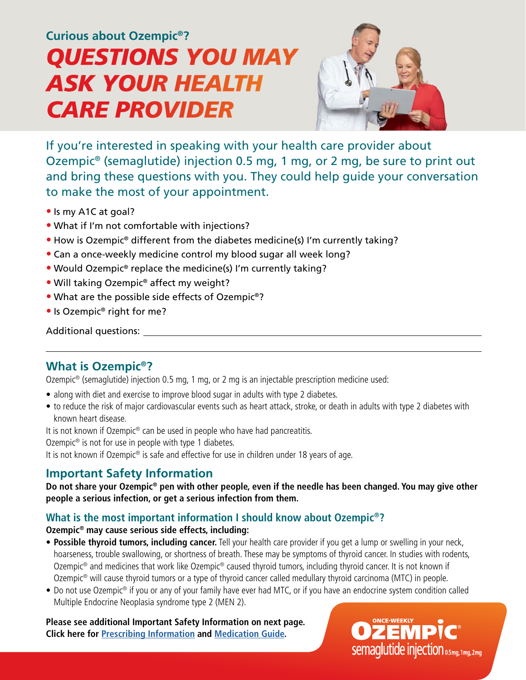# *CARE PROVIDER QUESTIONS YOU MAY ASK YOUR HEALTH* **Curious about Ozempic®?**



If you're interested in speaking with your health care provider about Ozempic® (semaglutide) injection 0.5 mg, 1 mg, or 2 mg, be sure to print out and bring these questions with you. They could help guide your conversation to make the most of your appointment.

- **•** Is my A1C at goal?
- **•** What if I'm not comfortable with injections?
- **•** How is Ozempic® different from the diabetes medicine(s) I'm currently taking?
- **•** Can a once-weekly medicine control my blood sugar all week long?
- **•** Would Ozempic® replace the medicine(s) I'm currently taking?
- **•** Will taking Ozempic® affect my weight?
- **•** What are the possible side effects of Ozempic®?
- **•** Is Ozempic® right for me?

#### Additional questions:

## **What is Ozempic®?**

Ozempic® (semaglutide) injection 0.5 mg, 1 mg, or 2 mg is an injectable prescription medicine used:

- along with diet and exercise to improve blood sugar in adults with type 2 diabetes.
- to reduce the risk of major cardiovascular events such as heart attack, stroke, or death in adults with type 2 diabetes with known heart disease.

It is not known if Ozempic<sup>®</sup> can be used in people who have had pancreatitis.

Ozempic<sup>®</sup> is not for use in people with type 1 diabetes.

It is not known if Ozempic<sup>®</sup> is safe and effective for use in children under 18 years of age.

## **Important Safety Information**

**Do not share your Ozempic® pen with other people, even if the needle has been changed. You may give other people a serious infection, or get a serious infection from them.**

### **What is the most important information I should know about Ozempic®?**

#### **Ozempic® may cause serious side effects, including:**

- **Possible thyroid tumors, including cancer.** Tell your health care provider if you get a lump or swelling in your neck, hoarseness, trouble swallowing, or shortness of breath. These may be symptoms of thyroid cancer. In studies with rodents, Ozempic® and medicines that work like Ozempic® caused thyroid tumors, including thyroid cancer. It is not known if Ozempic® will cause thyroid tumors or a type of thyroid cancer called medullary thyroid carcinoma (MTC) in people.
- Do not use Ozempic® if you or any of your family have ever had MTC, or if you have an endocrine system condition called Multiple Endocrine Neoplasia syndrome type 2 (MEN 2).

**Please see additional Important Safety Information on next page. Click here for [Prescribing Information](https://www.novo-pi.com/ozempic.pdf) and [Medication Guide.](https://www.novo-pi.com/ozempic.pdf#guide)**

Semaglutide injection 0.5mg, 1mg, 2mg